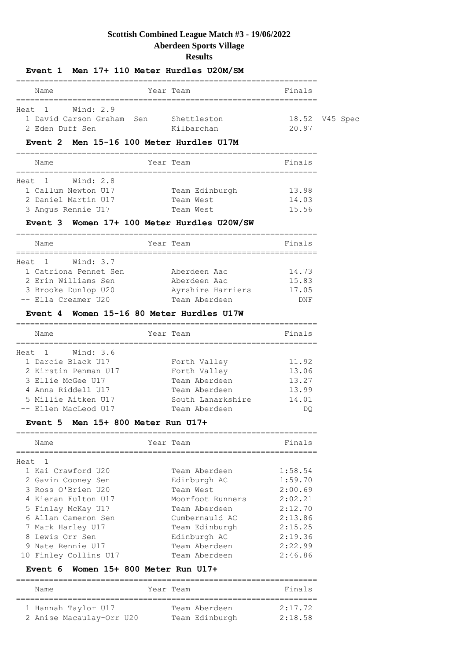## **Scottish Combined League Match #3 - 19/06/2022 Aberdeen Sports Village Results**

|                                                                   | Event 1 Men 17+ 110 Meter Hurdles U20M/SM |                         |
|-------------------------------------------------------------------|-------------------------------------------|-------------------------|
| Name                                                              | Year Team                                 | Finals                  |
| Heat 1 Wind: 2.9<br>1 David Carson Graham, Sen<br>2 Eden Duff Sen | Shettleston<br>Kilbarchan                 | 18.52 V45 Spec<br>20.97 |

## **Event 2 Men 15-16 100 Meter Hurdles U17M**

| Name                | Year Team      | Finals |
|---------------------|----------------|--------|
| Wind: 2.8<br>Heat 1 |                |        |
| 1 Callum Newton U17 | Team Edinburgh | 13.98  |
| 2 Daniel Martin U17 | Team West      | 14.03  |
| 3 Angus Rennie U17  | Team West      | 15.56  |

### **Event 3 Women 17+ 100 Meter Hurdles U20W/SW**

| Name                  | Year Team         | Finals |
|-----------------------|-------------------|--------|
| Wind: 3.7<br>Heat 1   |                   |        |
| 1 Catriona Pennet Sen | Aberdeen Aac      | 14.73  |
| 2 Erin Williams Sen   | Aberdeen Aac      | 15.83  |
| 3 Brooke Dunlop U20   | Ayrshire Harriers | 17.05  |
| -- Ella Creamer U20   | Team Aberdeen     | DNF    |

#### **Event 4 Women 15-16 80 Meter Hurdles U17W**

| Name                 | Year Team         | Finals |
|----------------------|-------------------|--------|
| Heat 1 Wind: 3.6     |                   |        |
| 1 Darcie Black U17   | Forth Valley      | 11.92  |
| 2 Kirstin Penman U17 | Forth Valley      | 13.06  |
| 3 Ellie McGee U17    | Team Aberdeen     | 13.27  |
| 4 Anna Riddell U17   | Team Aberdeen     | 13.99  |
| 5 Millie Aitken U17  | South Lanarkshire | 14.01  |
| -- Ellen MacLeod U17 | Team Aberdeen     | DO     |

#### **Event 5 Men 15+ 800 Meter Run U17+**

| Name                  |                  | Finals    |
|-----------------------|------------------|-----------|
| Heat                  |                  |           |
| 1 Kai Crawford U20    | Team Aberdeen    | 1:58.54   |
| 2 Gavin Cooney Sen    | Edinburgh AC     | 1:59.70   |
| 3 Ross O'Brien U20    | Team West        | 2:00.69   |
| 4 Kieran Fulton U17   | Moorfoot Runners | 2:02.21   |
| 5 Finlay McKay U17    | Team Aberdeen    | 2:12.70   |
| 6 Allan Cameron Sen   | Cumbernauld AC   | 2:13.86   |
| 7 Mark Harley U17     | Team Edinburgh   | 2:15.25   |
| 8 Lewis Orr Sen       | Edinburgh AC     | 2:19.36   |
| 9 Nate Rennie U17     | Team Aberdeen    | 2:22.99   |
| 10 Finley Collins U17 | Team Aberdeen    | 2:46.86   |
|                       |                  | Year Team |

#### **Event 6 Women 15+ 800 Meter Run U17+**

 2 Anise Macaulay-Orr U20 Team Edinburgh 2:18.58 ================================================================ Name Year Team Finals ================================================================ 1 Hannah Taylor U17 Team Aberdeen 2:17.72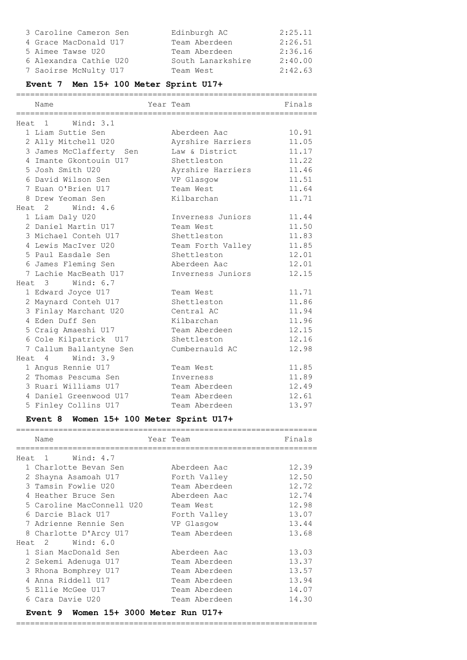| 3 Caroline Cameron Sen | Edinburgh AC      | 2:25.11 |
|------------------------|-------------------|---------|
| 4 Grace MacDonald U17  | Team Aberdeen     | 2:26.51 |
| 5 Aimee Tawse U20      | Team Aberdeen     | 2:36.16 |
| 6 Alexandra Cathie U20 | South Lanarkshire | 2:40.00 |
| 7 Saoirse McNulty U17  | Team West         | 2:42.63 |

# **Event 7 Men 15+ 100 Meter Sprint U17+**

|        | Name                    | Year Team         | Finals |
|--------|-------------------------|-------------------|--------|
|        | Wind: 3.1<br>Heat 1     |                   |        |
|        | 1 Liam Suttie Sen       | Aberdeen Aac      | 10.91  |
|        | 2 Ally Mitchell U20     | Ayrshire Harriers | 11.05  |
|        | 3 James McClafferty Sen | Law & District    | 11.17  |
|        | 4 Imante Gkontouin U17  | Shettleston       | 11.22  |
|        | 5 Josh Smith U20        | Ayrshire Harriers | 11.46  |
|        | 6 David Wilson Sen      | VP Glasgow        | 11.51  |
|        | 7 Euan O'Brien U17      | Team West         | 11.64  |
|        | 8 Drew Yeoman Sen       | Kilbarchan        | 11.71  |
| Heat 2 | Wind: 4.6               |                   |        |
|        | 1 Liam Daly U20         | Inverness Juniors | 11.44  |
|        | 2 Daniel Martin U17     | Team West         | 11.50  |
|        | 3 Michael Conteh U17    | Shettleston       | 11.83  |
|        | 4 Lewis MacIver U20     | Team Forth Valley | 11.85  |
|        | 5 Paul Easdale Sen      | Shettleston       | 12.01  |
|        | 6 James Fleming Sen     | Aberdeen Aac      | 12.01  |
|        | 7 Lachie MacBeath U17   | Inverness Juniors | 12.15  |
|        | Heat 3 Wind: 6.7        |                   |        |
|        | 1 Edward Joyce U17      | Team West         | 11.71  |
|        | 2 Maynard Conteh U17    | Shettleston       | 11.86  |
|        | 3 Finlay Marchant U20   | Central AC        | 11.94  |
|        | 4 Eden Duff Sen         | Kilbarchan        | 11.96  |
|        | 5 Craig Amaeshi U17     | Team Aberdeen     | 12.15  |
|        | 6 Cole Kilpatrick U17   | Shettleston       | 12.16  |
|        | 7 Callum Ballantyne Sen | Cumbernauld AC    | 12.98  |
|        | Heat 4 Wind: 3.9        |                   |        |
|        | 1 Angus Rennie U17      | Team West         | 11.85  |
|        | 2 Thomas Pescuma Sen    | Inverness         | 11.89  |
|        | 3 Ruari Williams U17    | Team Aberdeen     | 12.49  |
|        | 4 Daniel Greenwood U17  | Team Aberdeen     | 12.61  |
|        | 5 Finley Collins U17    | Team Aberdeen     | 13.97  |

# **Event 8 Women 15+ 100 Meter Sprint U17+**

|      | Name                                     | Year Team |               | Finals |
|------|------------------------------------------|-----------|---------------|--------|
| Heat | Wind: 4.7<br>$\sim$ 1                    |           |               |        |
|      | 1 Charlotte Bevan Sen                    |           | Aberdeen Aac  | 12.39  |
|      | 2 Shayna Asamoah U17                     |           | Forth Valley  | 12.50  |
|      | 3 Tamsin Fowlie U20                      |           | Team Aberdeen | 12.72  |
|      | 4 Heather Bruce Sen                      |           | Aberdeen Aac  | 12.74  |
|      | 5 Caroline MacConnell U20                |           | Team West     | 12.98  |
|      | 6 Darcie Black U17                       |           | Forth Valley  | 13.07  |
|      | 7 Adrienne Rennie Sen                    |           | VP Glasqow    | 13.44  |
|      | 8 Charlotte D'Arcy U17                   |           | Team Aberdeen | 13.68  |
|      | Heat 2<br>Wind: 6.0                      |           |               |        |
|      | 1 Sian MacDonald Sen                     |           | Aberdeen Aac  | 13.03  |
|      | 2 Sekemi Adenuga U17                     |           | Team Aberdeen | 13.37  |
|      | 3 Rhona Bomphrey U17                     |           | Team Aberdeen | 13.57  |
|      | 4 Anna Riddell U17                       |           | Team Aberdeen | 13.94  |
|      | 5 Ellie McGee U17                        |           | Team Aberdeen | 14.07  |
|      | 6 Cara Davie U20                         |           | Team Aberdeen | 14.30  |
|      | Event 9 Women $15+3000$ Meter Run $U17+$ |           |               |        |

================================================================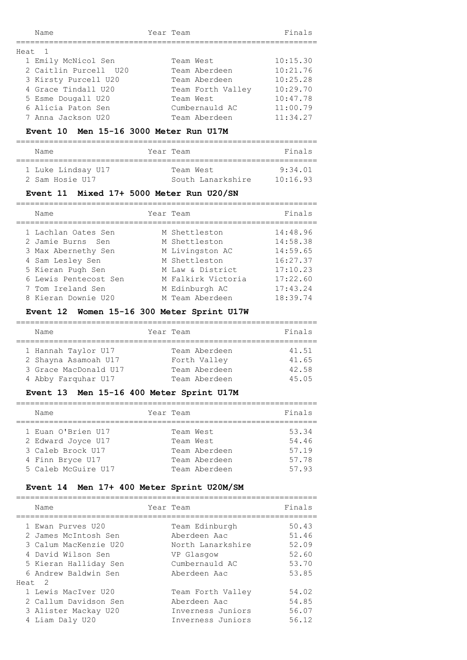| Name                  | Year Team         | Finals   |
|-----------------------|-------------------|----------|
| Heat 1                |                   |          |
| 1 Emily McNicol Sen   | Team West         | 10:15.30 |
| 2 Caitlin Purcell U20 | Team Aberdeen     | 10:21.76 |
| 3 Kirsty Purcell U20  | Team Aberdeen     | 10:25.28 |
| 4 Grace Tindall U20   | Team Forth Valley | 10:29.70 |
| 5 Esme Dougall U20    | Team West         | 10:47.78 |
| 6 Alicia Paton Sen    | Cumbernauld AC    | 11:00.79 |
| 7 Anna Jackson U20    | Team Aberdeen     | 11:34.27 |

#### **Event 10 Men 15-16 3000 Meter Run U17M**

================================================================

| Name               | Year Team         | Finals   |
|--------------------|-------------------|----------|
|                    |                   |          |
| 1 Luke Lindsay U17 | Team West         | 9.34 01  |
| 2 Sam Hosie U17    | South Lanarkshire | 10:16.93 |

#### **Event 11 Mixed 17+ 5000 Meter Run U20/SN**

| Name                  | Year Team          | Finals   |
|-----------------------|--------------------|----------|
| 1 Lachlan Oates Sen   | M Shettleston      | 14:48.96 |
| 2 Jamie Burns Sen     | M Shettleston      | 14:58.38 |
| 3 Max Abernethy Sen   | M Livingston AC    | 14:59.65 |
| 4 Sam Lesley Sen      | M Shettleston      | 16:27.37 |
| 5 Kieran Pugh Sen     | M Law & District   | 17:10.23 |
| 6 Lewis Pentecost Sen | M Falkirk Victoria | 17:22.60 |
| 7 Tom Ireland Sen     | M Edinburgh AC     | 17:43.24 |
| 8 Kieran Downie U20   | M Team Aberdeen    | 18:39.74 |

## **Event 12 Women 15-16 300 Meter Sprint U17W**

| Name                  | Year Team     | Finals |
|-----------------------|---------------|--------|
|                       |               |        |
| 1 Hannah Taylor U17   | Team Aberdeen | 41.51  |
| 2 Shayna Asamoah U17  | Forth Valley  | 41.65  |
| 3 Grace MacDonald U17 | Team Aberdeen | 42.58  |
| 4 Abby Farguhar U17   | Team Aberdeen | 45.05  |

#### **Event 13 Men 15-16 400 Meter Sprint U17M**

| Name                                                                                                     | Year Team                                                                 | Finals                                    |
|----------------------------------------------------------------------------------------------------------|---------------------------------------------------------------------------|-------------------------------------------|
| 1 Euan O'Brien U17<br>2 Edward Joyce U17<br>3 Caleb Brock U17<br>4 Finn Bryce U17<br>5 Caleb McGuire U17 | Team West<br>Team West<br>Team Aberdeen<br>Team Aberdeen<br>Team Aberdeen | 53.34<br>54.46<br>57.19<br>57.78<br>57.93 |

### **Event 14 Men 17+ 400 Meter Sprint U20M/SM**

| Name                                                                                                                                      | Year Team                                                                                           | Finals                                             |
|-------------------------------------------------------------------------------------------------------------------------------------------|-----------------------------------------------------------------------------------------------------|----------------------------------------------------|
| 1 Ewan Purves U20<br>2 James McIntosh Sen<br>3 Calum MacKenzie U20<br>4 David Wilson Sen<br>5 Kieran Halliday Sen<br>6 Andrew Baldwin Sen | Team Edinburgh<br>Aberdeen Aac<br>North Lanarkshire<br>VP Glasgow<br>Cumbernauld AC<br>Aberdeen Aac | 50.43<br>51.46<br>52.09<br>52.60<br>53.70<br>53.85 |
| Heat 2                                                                                                                                    |                                                                                                     |                                                    |
| 1 Lewis MacIver U20<br>2 Callum Davidson Sen<br>3 Alister Mackay U20<br>4 Liam Daly U20                                                   | Team Forth Valley<br>Aberdeen Aac<br>Inverness Juniors<br>Inverness Juniors                         | 54.02<br>54.85<br>56.07<br>56.12                   |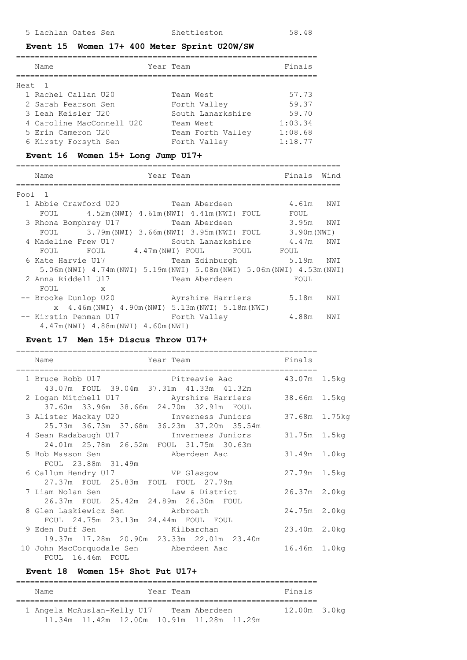#### **Event 15 Women 17+ 400 Meter Sprint U20W/SW**

| Name                      | Year Team         | Finals  |
|---------------------------|-------------------|---------|
| Heat 1                    |                   |         |
| 1 Rachel Callan U20       | Team West         | 57.73   |
| 2 Sarah Pearson Sen       | Forth Valley      | 59.37   |
| 3 Leah Keisler U20        | South Lanarkshire | 59.70   |
| 4 Caroline MacConnell U20 | Team West         | 1:03.34 |
| 5 Erin Cameron U20        | Team Forth Valley | 1:08.68 |
| 6 Kirsty Forsyth Sen      | Forth Valley      | 1:18.77 |
|                           |                   |         |

#### **Event 16 Women 15+ Long Jump U17+**

#### ===================================================================== Name **The South State Year Team** Finals Wind ===================================================================== Pool 1 1 Abbie Crawford U20 Team Aberdeen 4.61m NWI FOUL 4.52m(NWI) 4.61m(NWI) 4.41m(NWI) FOUL FOUL 3 Rhona Bomphrey U17 Team Aberdeen 3.95m NWI FOUL 3.79m(NWI) 3.66m(NWI) 3.95m(NWI) FOUL 3.90m(NWI) 4 Madeline Frew U17 South Lanarkshire 4.47m NWI FOUL FOUL 4.47m (NWI) FOUL FOUL FOUL 6 Kate Harvie U17 Team Edinburgh 5.19m NWI 5.06m(NWI) 4.74m(NWI) 5.19m(NWI) 5.08m(NWI) 5.06m(NWI) 4.53m(NWI) 2 Anna Riddell U17 Team Aberdeen FOUL FOUL x -- Brooke Dunlop U20 Myrshire Harriers 5.18m NWI x 4.46m(NWI) 4.90m(NWI) 5.13m(NWI) 5.18m(NWI) -- Kirstin Penman U17 Forth Valley  $4.88$ m NWI 4.47m(NWI) 4.88m(NWI) 4.60m(NWI)

### **Event 17 Men 15+ Discus Throw U17+**

|  | =============                                                                                           |                                                |               |  |
|--|---------------------------------------------------------------------------------------------------------|------------------------------------------------|---------------|--|
|  | Name                                                                                                    | Year Team                                      | Finals        |  |
|  |                                                                                                         | 1 Bruce Robb U17 Pitreavie Aac                 | 43.07m 1.5kg  |  |
|  | 43.07m FOUL 39.04m 37.31m 41.33m 41.32m                                                                 |                                                | 38.66m 1.5kg  |  |
|  | 37.60m 33.96m 38.66m 24.70m 32.91m FOUL                                                                 | 3 Alister Mackay U20         Inverness Juniors | 37.68m 1.75kg |  |
|  | 25.73m 36.73m 37.68m 36.23m 37.20m 35.54m<br>4 Sean Radabaugh U17 1nverness Juniors                     |                                                | 31.75m 1.5kg  |  |
|  | 24.01m  25.78m  26.52m  FOUL  31.75m  30.63m<br>5 Bob Masson Sen                                        | Aberdeen Aac                                   | 31.49m 1.0kg  |  |
|  | FOUL 23.88m 31.49m<br>6 Callum Hendry U17 6 VP Glasgow                                                  |                                                | 27.79m 1.5kg  |  |
|  | 27.37m FOUL 25.83m FOUL FOUL 27.79m<br>7 Liam Nolan Sen                                                 | Law & District                                 | 26.37m 2.0kg  |  |
|  | 26.37m FOUL 25.42m 24.89m 26.30m FOUL<br>8 Glen Laskiewicz Sen arbroath                                 |                                                | 24.75m 2.0kg  |  |
|  | FOUL 24.75m 23.13m 24.44m FOUL FOUL<br>9 Eden Duff Sen and Kilbarchan                                   |                                                | 23.40m 2.0kg  |  |
|  | 19.37m 17.28m 20.90m 23.33m 22.01m 23.40m<br>10 John MacCorquodale Sen aberdeen Aac<br>FOUL 16.46m FOUL |                                                | 16.46m 1.0kg  |  |
|  |                                                                                                         |                                                |               |  |

#### **Event 18 Women 15+ Shot Put U17+**

| Name                                                                                   | Year Team |  | Finals       |  |
|----------------------------------------------------------------------------------------|-----------|--|--------------|--|
| 1 Angela McAuslan-Kelly U17 Team Aberdeen<br>11.34m 11.42m 12.00m 10.91m 11.28m 11.29m |           |  | 12.00m 3.0kg |  |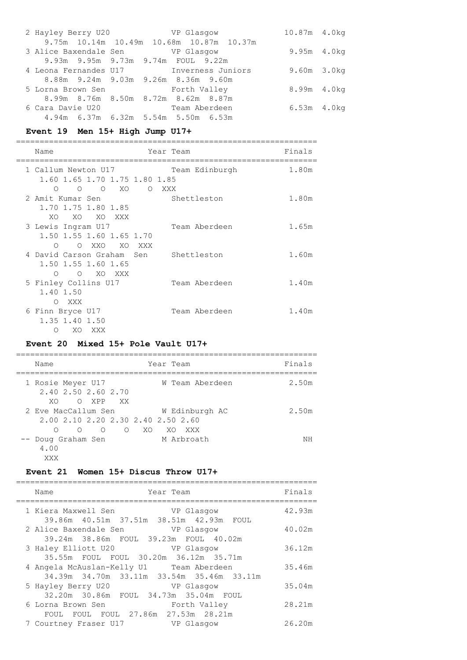| 2 Hayley Berry U20 VP Glasqow                    |  |                                     |                                          | 10.87m 4.0kg     |  |
|--------------------------------------------------|--|-------------------------------------|------------------------------------------|------------------|--|
|                                                  |  |                                     | 9.75m 10.14m 10.49m 10.68m 10.87m 10.37m |                  |  |
| 3 Alice Baxendale Sen VP Glasqow                 |  |                                     |                                          | 9.95m 4.0kg      |  |
|                                                  |  | 9.93m 9.95m 9.73m 9.74m FOUL 9.22m  |                                          |                  |  |
|                                                  |  |                                     | 4 Leona Fernandes U17 1nverness Juniors  | $9.60m$ $3.0kq$  |  |
|                                                  |  | 8.88m 9.24m 9.03m 9.26m 8.36m 9.60m |                                          |                  |  |
| 5 Lorna Brown Sen                   Forth Valley |  |                                     |                                          | 8.99m 4.0kg      |  |
|                                                  |  | 8.99m 8.76m 8.50m 8.72m 8.62m 8.87m |                                          |                  |  |
| 6 Cara Davie U20                                 |  | Team Aberdeen                       |                                          | $6.53m$ 4.0 $kg$ |  |
|                                                  |  | 4.94m 6.37m 6.32m 5.54m 5.50m 6.53m |                                          |                  |  |

# **Event 19 Men 15+ High Jump U17+**

| Name                                                                               | Year Team |                | Finals |
|------------------------------------------------------------------------------------|-----------|----------------|--------|
| 1 Callum Newton U17<br>1.60 1.65 1.70 1.75 1.80 1.85<br>$O$ $O$ $XO$<br>$\bigcirc$ |           | Team Edinburgh | 1.80m  |
| 2 Amit Kumar Sen<br>1.70 1.75 1.80 1.85<br>XO.<br>XO<br>XO XXX                     | O XXX     | Shettleston    | 1.80m  |
| 3 Lewis Ingram U17<br>1.50 1.55 1.60 1.65 1.70<br>O OXXO XOXXX                     |           | Team Aberdeen  | 1.65m  |
| 4 David Carson Graham Sen<br>1.50 1.55 1.60 1.65<br>O XO XXX<br>$\bigcirc$         |           | Shettleston    | 1.60m  |
| 5 Finley Collins U17<br>1.40 1.50<br>O XXX                                         |           | Team Aberdeen  | 1.40m  |
| 6 Finn Bryce U17<br>1.35 1.40 1.50<br>$\Omega$<br>XO<br>XXX                        |           | Team Aberdeen  | 1.40m  |

# **Event 20 Mixed 15+ Pole Vault U17+**

| Name                                                      | Year Team                                                                      | Finals |
|-----------------------------------------------------------|--------------------------------------------------------------------------------|--------|
| 1 Rosie Meyer U17<br>2.40 2.50 2.60 2.70<br>XO.<br>CO XPP | W Team Aberdeen<br>XX X                                                        | 2.50m  |
| 2 Eve MacCallum Sen<br>$\cap$<br>∩                        | W Edinburgh AC<br>2.00 2.10 2.20 2.30 2.40 2.50 2.60<br>$O$ $O$ $XO$<br>XO XXX | 2.50m  |
| -- Doug Graham Sen<br>4.00<br>XXX                         | M Arbroath                                                                     | ΝH     |

# **Event 21 Women 15+ Discus Throw U17+**

| Name<br>Year Team                                                                     | Finals |
|---------------------------------------------------------------------------------------|--------|
| 1 Kiera Maxwell Sen<br>VP Glasqow<br>39.86m 40.51m 37.51m 38.51m 42.93m FOUL          | 42.93m |
| 2 Alice Baxendale Sen VP Glasgow<br>39.24m 38.86m FOUL 39.23m FOUL 40.02m             | 40.02m |
| 3 Haley Elliott U20<br>VP Glasgow<br>35.55m FOUL FOUL 30.20m 36.12m 35.71m            | 36.12m |
| 4 Angela McAuslan-Kelly U1 Team Aberdeen<br>34.39m 34.70m 33.11m 33.54m 35.46m 33.11m | 35.46m |
| 5 Hayley Berry U20<br>VP Glasgow<br>32.20m 30.86m FOUL 34.73m 35.04m FOUL             | 35.04m |
| 6 Lorna Brown Sen<br>Forth Valley<br>FOUL FOUL FOUL 27.86m 27.53m 28.21m              | 28.21m |
| 7 Courtney Fraser U17<br>VP Glasqow                                                   | 26.20m |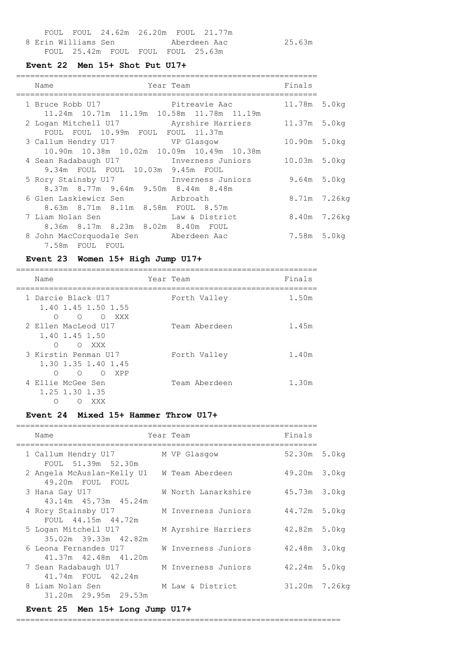|  |                                   |  | FOUL FOUL 24.62m 26.20m FOUL 21.77m |        |
|--|-----------------------------------|--|-------------------------------------|--------|
|  | 8 Erin Williams Sen               |  | Aberdeen Aac                        | 25.63m |
|  | FOUL 25.42m FOUL FOUL FOUL 25.63m |  |                                     |        |

### **Event 22 Men 15+ Shot Put U17+**

| Name                                                                             | Year Team      | Finals           |              |
|----------------------------------------------------------------------------------|----------------|------------------|--------------|
| 1 Bruce Robb U17                                                                 | Pitreavie Aac  | 11.78m 5.0kg     |              |
| 11.24m 10.71m 11.19m 10.58m 11.78m 11.19m                                        |                | 11.37m 5.0kg     |              |
| FOUL FOUL 10.99m FOUL FOUL 11.37m                                                |                |                  |              |
| 3 Callum Hendry U17 VP Glasqow<br>10.90m  10.38m  10.02m  10.09m  10.49m  10.38m |                | 10.90m 5.0kg     |              |
| 4 Sean Radabaugh U17 1nverness Juniors                                           |                | 10.03m 5.0kg     |              |
| 9.34m FOUL FOUL 10.03m 9.45m FOUL                                                |                |                  |              |
| 5 Rory Stainsby U17 1nverness Juniors<br>8.37m 8.77m 9.64m 9.50m 8.44m 8.48m     |                | $9.64m$ 5.0 $kg$ |              |
| 6 Glen Laskiewicz Sen arbroath                                                   |                |                  | 8.71m 7.26kg |
| 8.63m 8.71m 8.11m 8.58m FOUL 8.57m<br>7 Liam Nolan Sen                           | Law & District | 8.40m 7.26kg     |              |
| 8.36m 8.17m 8.23m 8.02m 8.40m FOUL                                               |                |                  |              |
| 8 John MacCorquodale Sen Aberdeen Aac<br>7.58m FOUL FOUL                         |                | 7.58m 5.0kg      |              |
|                                                                                  |                |                  |              |

# **Event 23 Women 15+ High Jump U17+**

| Name                                                                          | Year Team |               | Finals |
|-------------------------------------------------------------------------------|-----------|---------------|--------|
| 1 Darcie Black U17<br>1.40 1.45 1.50 1.55<br>O OXXX<br>∩                      |           | Forth Valley  | 1.50m  |
| 2 Ellen MacLeod U17<br>1.40 1.45 1.50<br>∩<br>O XXX                           |           | Team Aberdeen | 1.45m  |
| 3 Kirstin Penman U17<br>1.30 1.35 1.40 1.45<br>$\bigcirc$<br>$\circ$<br>O XPP |           | Forth Valley  | 1.40m  |
| 4 Ellie McGee Sen<br>1.25 1.30 1.35<br>XXX<br>$\left($                        |           | Team Aberdeen | 1.30m  |

#### **Event 24 Mixed 15+ Hammer Throw U17+**

| Name                                                           | Year Team           | Finals        |  |
|----------------------------------------------------------------|---------------------|---------------|--|
| 1 Callum Hendry U17<br>FOUL 51.39m 52.30m                      | M VP Glasqow        | 52.30m 5.0kg  |  |
| 2 Angela McAuslan-Kelly U1 W Team Aberdeen<br>49.20m FOUL FOUL |                     | 49.20m 3.0kg  |  |
| 3 Hana Gay U17<br>43.14m  45.73m  45.24m                       | W North Lanarkshire | 45.73m 3.0kg  |  |
| 4 Rory Stainsby U17<br>FOUL 44.15m 44.72m                      | M Inverness Juniors | 44.72m 5.0kg  |  |
| 5 Logan Mitchell U17<br>35.02m 39.33m 42.82m                   | M Ayrshire Harriers | 42.82m 5.0kg  |  |
| 6 Leona Fernandes U17<br>41.37m 42.48m 41.20m                  | W Inverness Juniors | 42.48m 3.0kg  |  |
| 7 Sean Radabaugh U17<br>41.74m FOUL 42.24m                     | M Inverness Juniors | 42.24m 5.0kg  |  |
| 8 Liam Nolan Sen International<br>31.20m 29.95m 29.53m         | M Law & District    | 31.20m 7.26kg |  |

## **Event 25 Men 15+ Long Jump U17+**

=====================================================================